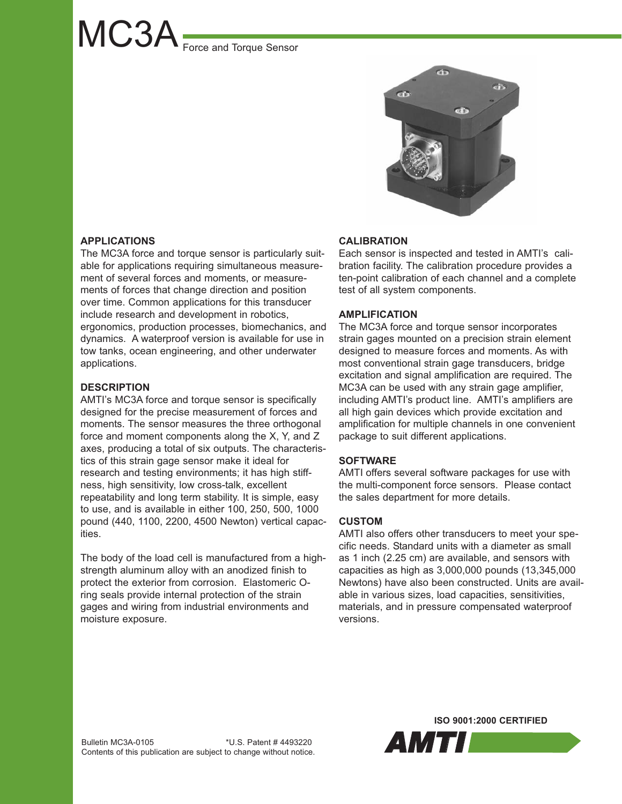# MC3A Force and Torque Sensor



# **APPLICATIONS**

The MC3A force and torque sensor is particularly suitable for applications requiring simultaneous measurement of several forces and moments, or measurements of forces that change direction and position over time. Common applications for this transducer include research and development in robotics, ergonomics, production processes, biomechanics, and dynamics. A waterproof version is available for use in tow tanks, ocean engineering, and other underwater applications.

# **DESCRIPTION**

AMTI's MC3A force and torque sensor is specifically designed for the precise measurement of forces and moments. The sensor measures the three orthogonal force and moment components along the X, Y, and Z axes, producing a total of six outputs. The characteristics of this strain gage sensor make it ideal for research and testing environments; it has high stiffness, high sensitivity, low cross-talk, excellent repeatability and long term stability. It is simple, easy to use, and is available in either 100, 250, 500, 1000 pound (440, 1100, 2200, 4500 Newton) vertical capacities.

The body of the load cell is manufactured from a highstrength aluminum alloy with an anodized finish to protect the exterior from corrosion. Elastomeric Oring seals provide internal protection of the strain gages and wiring from industrial environments and moisture exposure.

### **CALIBRATION**

Each sensor is inspected and tested in AMTI's calibration facility. The calibration procedure provides a ten-point calibration of each channel and a complete test of all system components.

## **AMPLIFICATION**

The MC3A force and torque sensor incorporates strain gages mounted on a precision strain element designed to measure forces and moments. As with most conventional strain gage transducers, bridge excitation and signal amplification are required. The MC3A can be used with any strain gage amplifier, including AMTI's product line. AMTI's amplifiers are all high gain devices which provide excitation and amplification for multiple channels in one convenient package to suit different applications.

### **SOFTWARE**

AMTI offers several software packages for use with the multi-component force sensors. Please contact the sales department for more details.

### **CUSTOM**

AMTI also offers other transducers to meet your specific needs. Standard units with a diameter as small as 1 inch (2.25 cm) are available, and sensors with capacities as high as 3,000,000 pounds (13,345,000 Newtons) have also been constructed. Units are available in various sizes, load capacities, sensitivities, materials, and in pressure compensated waterproof versions.

**ISO 9001:2000 CERTIFIED**